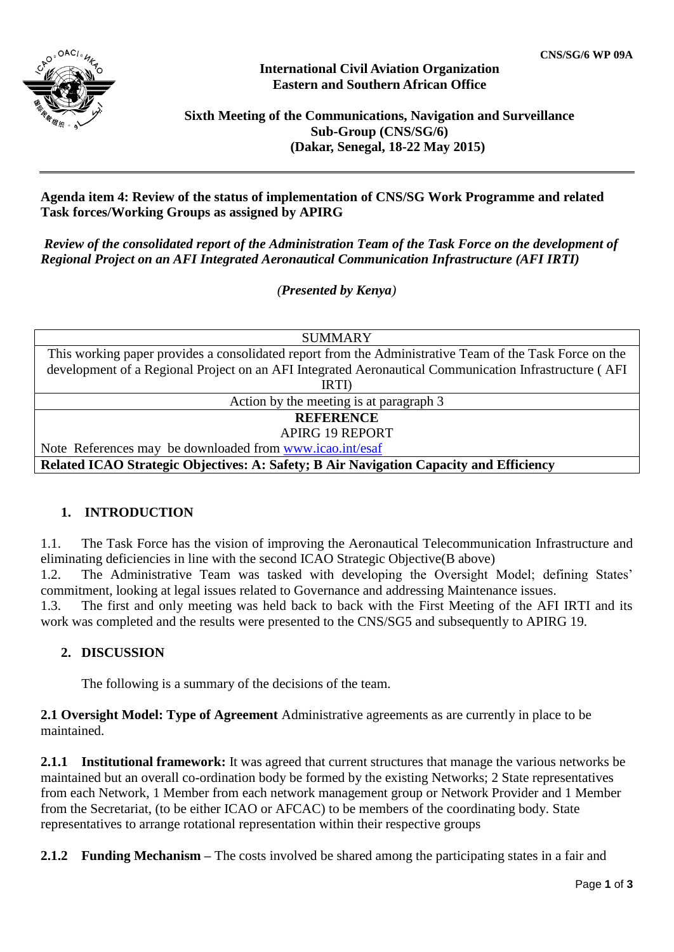

## **International Civil Aviation Organization Eastern and Southern African Office**

# **Sixth Meeting of the Communications, Navigation and Surveillance Sub-Group (CNS/SG/6) (Dakar, Senegal, 18-22 May 2015)**

## **Agenda item 4: Review of the status of implementation of CNS/SG Work Programme and related Task forces/Working Groups as assigned by APIRG**

*Review of the consolidated report of the Administration Team of the Task Force on the development of Regional Project on an AFI Integrated Aeronautical Communication Infrastructure (AFI IRTI)* 

*(Presented by Kenya)*

**SUMMARY** 

| This working paper provides a consolidated report from the Administrative Team of the Task Force on the |
|---------------------------------------------------------------------------------------------------------|
| development of a Regional Project on an AFI Integrated Aeronautical Communication Infrastructure (AFI   |
| IRTI)                                                                                                   |
| Action by the meeting is at paragraph 3                                                                 |
| <b>REFERENCE</b>                                                                                        |
| <b>APIRG 19 REPORT</b>                                                                                  |
| Note References may be downloaded from www.icao.int/esaf                                                |
| Related ICAO Strategic Objectives: A: Safety; B Air Navigation Capacity and Efficiency                  |

# **1. INTRODUCTION**

1.1. The Task Force has the vision of improving the Aeronautical Telecommunication Infrastructure and eliminating deficiencies in line with the second ICAO Strategic Objective(B above)

1.2. The Administrative Team was tasked with developing the Oversight Model; defining States' commitment, looking at legal issues related to Governance and addressing Maintenance issues.

1.3. The first and only meeting was held back to back with the First Meeting of the AFI IRTI and its work was completed and the results were presented to the CNS/SG5 and subsequently to APIRG 19.

# **2. DISCUSSION**

The following is a summary of the decisions of the team.

**2.1 Oversight Model: Type of Agreement** Administrative agreements as are currently in place to be maintained.

**2.1.1 Institutional framework:** It was agreed that current structures that manage the various networks be maintained but an overall co-ordination body be formed by the existing Networks; 2 State representatives from each Network, 1 Member from each network management group or Network Provider and 1 Member from the Secretariat, (to be either ICAO or AFCAC) to be members of the coordinating body. State representatives to arrange rotational representation within their respective groups

**2.1.2 Funding Mechanism –** The costs involved be shared among the participating states in a fair and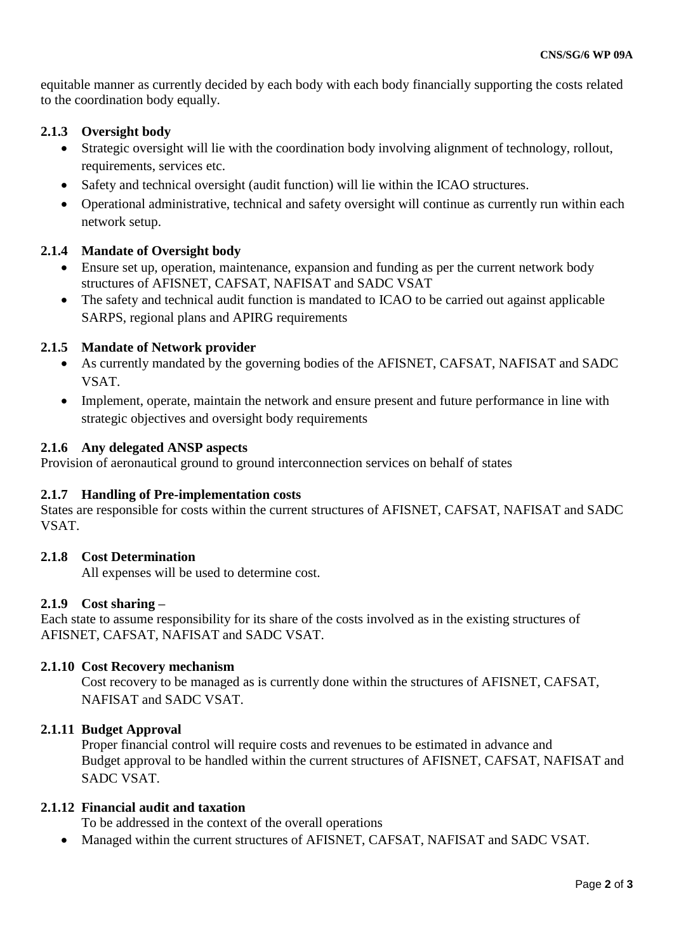equitable manner as currently decided by each body with each body financially supporting the costs related to the coordination body equally.

# **2.1.3 Oversight body**

- Strategic oversight will lie with the coordination body involving alignment of technology, rollout, requirements, services etc.
- Safety and technical oversight (audit function) will lie within the ICAO structures.
- Operational administrative, technical and safety oversight will continue as currently run within each network setup.

# **2.1.4 Mandate of Oversight body**

- Ensure set up, operation, maintenance, expansion and funding as per the current network body structures of AFISNET, CAFSAT, NAFISAT and SADC VSAT
- The safety and technical audit function is mandated to ICAO to be carried out against applicable SARPS, regional plans and APIRG requirements

## **2.1.5 Mandate of Network provider**

- As currently mandated by the governing bodies of the AFISNET, CAFSAT, NAFISAT and SADC **VSAT**
- Implement, operate, maintain the network and ensure present and future performance in line with strategic objectives and oversight body requirements

#### **2.1.6 Any delegated ANSP aspects**

Provision of aeronautical ground to ground interconnection services on behalf of states

#### **2.1.7 Handling of Pre-implementation costs**

States are responsible for costs within the current structures of AFISNET, CAFSAT, NAFISAT and SADC VSAT.

#### **2.1.8 Cost Determination**

All expenses will be used to determine cost.

#### **2.1.9 Cost sharing –**

Each state to assume responsibility for its share of the costs involved as in the existing structures of AFISNET, CAFSAT, NAFISAT and SADC VSAT.

#### **2.1.10 Cost Recovery mechanism**

Cost recovery to be managed as is currently done within the structures of AFISNET, CAFSAT, NAFISAT and SADC VSAT.

#### **2.1.11 Budget Approval**

Proper financial control will require costs and revenues to be estimated in advance and Budget approval to be handled within the current structures of AFISNET, CAFSAT, NAFISAT and SADC VSAT.

#### **2.1.12 Financial audit and taxation**

To be addressed in the context of the overall operations

Managed within the current structures of AFISNET, CAFSAT, NAFISAT and SADC VSAT.